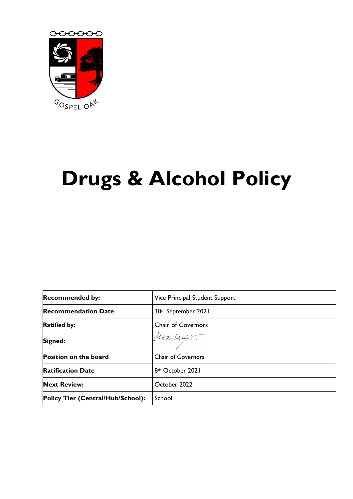

# **Drugs & Alcohol Policy**

| <b>Recommended by:</b>            | Vice Principal Student Support  |  |
|-----------------------------------|---------------------------------|--|
| <b>Recommendation Date</b>        | 30 <sup>th</sup> September 2021 |  |
| <b>Ratified by:</b>               | <b>Chair of Governors</b>       |  |
| Signed:                           | Steve Lewitt.                   |  |
| <b>Position on the board</b>      | <b>Chair of Governors</b>       |  |
| <b>Ratification Date</b>          | 8 <sup>th</sup> October 2021    |  |
| <b>Next Review:</b>               | October 2022                    |  |
| Policy Tier (Central/Hub/School): | School                          |  |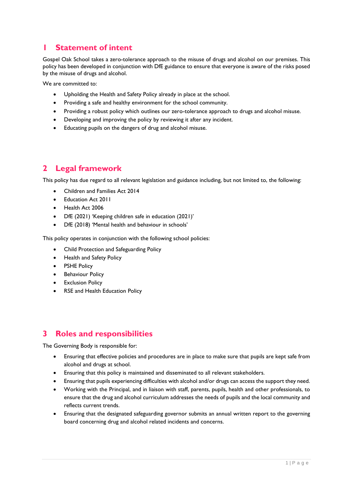## **1 Statement of intent**

Gospel Oak School takes a zero-tolerance approach to the misuse of drugs and alcohol on our premises. This policy has been developed in conjunction with DfE guidance to ensure that everyone is aware of the risks posed by the misuse of drugs and alcohol.

We are committed to:

- Upholding the Health and Safety Policy already in place at the school.
- Providing a safe and healthy environment for the school community.
- Providing a robust policy which outlines our zero-tolerance approach to drugs and alcohol misuse.
- Developing and improving the policy by reviewing it after any incident.
- Educating pupils on the dangers of drug and alcohol misuse.

# **2 Legal framework**

This policy has due regard to all relevant legislation and guidance including, but not limited to, the following:

- Children and Families Act 2014
- Education Act 2011
- Health Act 2006
- DfE (2021) 'Keeping children safe in education (2021)'
- DfE (2018) 'Mental health and behaviour in schools'

This policy operates in conjunction with the following school policies:

- Child Protection and Safeguarding Policy
- Health and Safety Policy
- **PSHE Policy**
- Behaviour Policy
- Exclusion Policy
- RSE and Health Education Policy

# **3 Roles and responsibilities**

The Governing Body is responsible for:

- Ensuring that effective policies and procedures are in place to make sure that pupils are kept safe from alcohol and drugs at school.
- Ensuring that this policy is maintained and disseminated to all relevant stakeholders.
- Ensuring that pupils experiencing difficulties with alcohol and/or drugs can access the support they need.
- Working with the Principal, and in liaison with staff, parents, pupils, health and other professionals, to ensure that the drug and alcohol curriculum addresses the needs of pupils and the local community and reflects current trends.
- Ensuring that the designated safeguarding governor submits an annual written report to the governing board concerning drug and alcohol related incidents and concerns.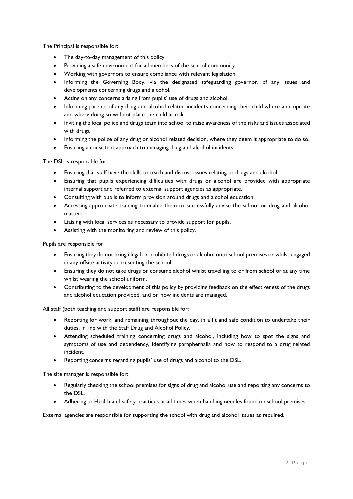The Principal is responsible for:

- The day-to-day management of this policy.
- Providing a safe environment for all members of the school community.
- Working with governors to ensure compliance with relevant legislation.
- Informing the Governing Body, via the designated safeguarding governor, of any issues and developments concerning drugs and alcohol.
- Acting on any concerns arising from pupils' use of drugs and alcohol.
- Informing parents of any drug and alcohol related incidents concerning their child where appropriate and where doing so will not place the child at risk.
- Inviting the local police and drugs team into school to raise awareness of the risks and issues associated with drugs.
- Informing the police of any drug or alcohol related decision, where they deem it appropriate to do so.
- Ensuring a consistent approach to managing drug and alcohol incidents.

The DSL is responsible for:

- Ensuring that staff have the skills to teach and discuss issues relating to drugs and alcohol.
- Ensuring that pupils experiencing difficulties with drugs or alcohol are provided with appropriate internal support and referred to external support agencies as appropriate.
- Consulting with pupils to inform provision around drugs and alcohol education.
- Accessing appropriate training to enable them to successfully advise the school on drug and alcohol matters.
- Liaising with local services as necessary to provide support for pupils.
- Assisting with the monitoring and review of this policy.

Pupils are responsible for:

- Ensuring they do not bring illegal or prohibited drugs or alcohol onto school premises or whilst engaged in any offsite activity representing the school.
- Ensuring they do not take drugs or consume alcohol whilst travelling to or from school or at any time whilst wearing the school uniform.
- Contributing to the development of this policy by providing feedback on the effectiveness of the drugs and alcohol education provided, and on how incidents are managed.

All staff (both teaching and support staff) are responsible for:

- Reporting for work, and remaining throughout the day, in a fit and safe condition to undertake their duties, in line with the Staff Drug and Alcohol Policy.
- Attending scheduled training concerning drugs and alcohol, including how to spot the signs and symptoms of use and dependency, identifying paraphernalia and how to respond to a drug related incident.
- Reporting concerns regarding pupils' use of drugs and alcohol to the DSL.

The site manager is responsible for:

- Regularly checking the school premises for signs of drug and alcohol use and reporting any concerns to the DSL.
- Adhering to Health and safety practices at all times when handling needles found on school premises.

External agencies are responsible for supporting the school with drug and alcohol issues as required.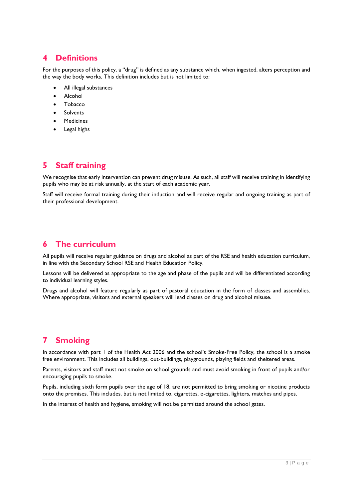## **4 Definitions**

For the purposes of this policy, a "drug" is defined as any substance which, when ingested, alters perception and the way the body works. This definition includes but is not limited to:

- All illegal substances
- **Alcohol**
- Tobacco
- **Solvents**
- Medicines
- Legal highs

## **5 Staff training**

We recognise that early intervention can prevent drug misuse. As such, all staff will receive training in identifying pupils who may be at risk annually, at the start of each academic year.

Staff will receive formal training during their induction and will receive regular and ongoing training as part of their professional development.

## **6 The curriculum**

All pupils will receive regular guidance on drugs and alcohol as part of the RSE and health education curriculum, in line with the Secondary School RSE and Health Education Policy.

Lessons will be delivered as appropriate to the age and phase of the pupils and will be differentiated according to individual learning styles.

Drugs and alcohol will feature regularly as part of pastoral education in the form of classes and assemblies. Where appropriate, visitors and external speakers will lead classes on drug and alcohol misuse.

# **7 Smoking**

In accordance with part I of the Health Act 2006 and the school's Smoke-Free Policy, the school is a smoke free environment. This includes all buildings, out-buildings, playgrounds, playing fields and sheltered areas.

Parents, visitors and staff must not smoke on school grounds and must avoid smoking in front of pupils and/or encouraging pupils to smoke.

Pupils, including sixth form pupils over the age of 18, are not permitted to bring smoking or nicotine products onto the premises. This includes, but is not limited to, cigarettes, e-cigarettes, lighters, matches and pipes.

In the interest of health and hygiene, smoking will not be permitted around the school gates.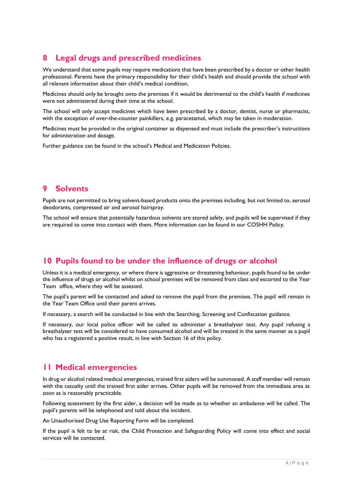# **8 Legal drugs and prescribed medicines**

We understand that some pupils may require medications that have been prescribed by a doctor or other health professional. Parents have the primary responsibility for their child's health and should provide the school with all relevant information about their child's medical condition.

Medicines should only be brought onto the premises if it would be detrimental to the child's health if medicines were not administered during their time at the school.

The school will only accept medicines which have been prescribed by a doctor, dentist, nurse or pharmacist, with the exception of over-the-counter painkillers, e.g. paracetamol, which may be taken in moderation.

Medicines must be provided in the original container as dispensed and must include the prescriber's instructions for administration and dosage.

Further guidance can be found in the school's Medical and Medication Policies.

## **9 Solvents**

Pupils are not permitted to bring solvent-based products onto the premises including, but not limited to, aerosol deodorants, compressed air and aerosol hairspray.

The school will ensure that potentially hazardous solvents are stored safely, and pupils will be supervised if they are required to come into contact with them. More information can be found in our COSHH Policy.

## **10 Pupils found to be under the influence of drugs or alcohol**

Unless it is a medical emergency, or where there is aggressive or threatening behaviour, pupils found to be under the influence of drugs or alcohol whilst on school premises will be removed from class and escorted to the Year Team office, where they will be assessed.

The pupil's parent will be contacted and asked to remove the pupil from the premises. The pupil will remain in the Year Team Office until their parent arrives.

If necessary, a search will be conducted in line with the Searching, Screening and Confiscation guidance.

If necessary, our local police officer will be called to administer a breathalyser test. Any pupil refusing a breathalyser test will be considered to have consumed alcohol and will be treated in the same manner as a pupil who has a registered a positive result, in line with Section 16 of this policy.

## **11 Medical emergencies**

In drug or alcohol related medical emergencies, trained first aiders will be summoned. A staff member will remain with the casualty until the trained first aider arrives. Other pupils will be removed from the immediate area as soon as is reasonably practicable.

Following assessment by the first aider, a decision will be made as to whether an ambulance will be called. The pupil's parents will be telephoned and told about the incident.

An Unauthorised Drug Use Reporting Form will be completed.

If the pupil is felt to be at risk, the Child Protection and Safeguarding Policy will come into effect and social services will be contacted.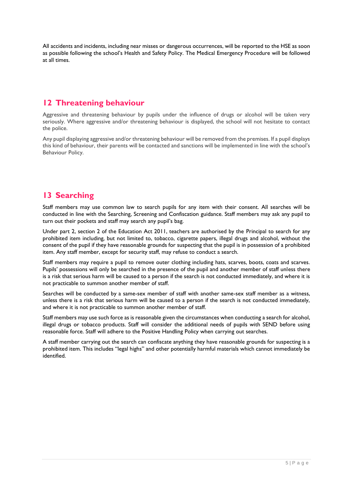All accidents and incidents, including near misses or dangerous occurrences, will be reported to the HSE as soon as possible following the school's Health and Safety Policy. The Medical Emergency Procedure will be followed at all times.

## **12 Threatening behaviour**

Aggressive and threatening behaviour by pupils under the influence of drugs or alcohol will be taken very seriously. Where aggressive and/or threatening behaviour is displayed, the school will not hesitate to contact the police.

Any pupil displaying aggressive and/or threatening behaviour will be removed from the premises. If a pupil displays this kind of behaviour, their parents will be contacted and sanctions will be implemented in line with the school's Behaviour Policy.

## **13 Searching**

Staff members may use common law to search pupils for any item with their consent. All searches will be conducted in line with the Searching, Screening and Confiscation guidance. Staff members may ask any pupil to turn out their pockets and staff may search any pupil's bag.

Under part 2, section 2 of the Education Act 2011, teachers are authorised by the Principal to search for any prohibited item including, but not limited to, tobacco, cigarette papers, illegal drugs and alcohol, without the consent of the pupil if they have reasonable grounds for suspecting that the pupil is in possession of a prohibited item. Any staff member, except for security staff, may refuse to conduct a search.

Staff members may require a pupil to remove outer clothing including hats, scarves, boots, coats and scarves. Pupils' possessions will only be searched in the presence of the pupil and another member of staff unless there is a risk that serious harm will be caused to a person if the search is not conducted immediately, and where it is not practicable to summon another member of staff.

Searches will be conducted by a same-sex member of staff with another same-sex staff member as a witness, unless there is a risk that serious harm will be caused to a person if the search is not conducted immediately, and where it is not practicable to summon another member of staff.

Staff members may use such force as is reasonable given the circumstances when conducting a search for alcohol, illegal drugs or tobacco products. Staff will consider the additional needs of pupils with SEND before using reasonable force. Staff will adhere to the Positive Handling Policy when carrying out searches.

A staff member carrying out the search can confiscate anything they have reasonable grounds for suspecting is a prohibited item. This includes "legal highs" and other potentially harmful materials which cannot immediately be identified.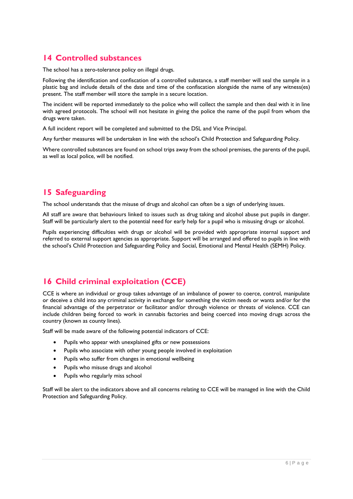## **14 Controlled substances**

The school has a zero-tolerance policy on illegal drugs.

Following the identification and confiscation of a controlled substance, a staff member will seal the sample in a plastic bag and include details of the date and time of the confiscation alongside the name of any witness(es) present. The staff member will store the sample in a secure location.

The incident will be reported immediately to the police who will collect the sample and then deal with it in line with agreed protocols. The school will not hesitate in giving the police the name of the pupil from whom the drugs were taken.

A full incident report will be completed and submitted to the DSL and Vice Principal.

Any further measures will be undertaken in line with the school's Child Protection and Safeguarding Policy.

Where controlled substances are found on school trips away from the school premises, the parents of the pupil, as well as local police, will be notified.

## **15 Safeguarding**

The school understands that the misuse of drugs and alcohol can often be a sign of underlying issues.

All staff are aware that behaviours linked to issues such as drug taking and alcohol abuse put pupils in danger. Staff will be particularly alert to the potential need for early help for a pupil who is misusing drugs or alcohol.

Pupils experiencing difficulties with drugs or alcohol will be provided with appropriate internal support and referred to external support agencies as appropriate. Support will be arranged and offered to pupils in line with the school's Child Protection and Safeguarding Policy and Social, Emotional and Mental Health (SEMH) Policy.

# **16 Child criminal exploitation (CCE)**

CCE is where an individual or group takes advantage of an imbalance of power to coerce, control, manipulate or deceive a child into any criminal activity in exchange for something the victim needs or wants and/or for the financial advantage of the perpetrator or facilitator and/or through violence or threats of violence. CCE can include children being forced to work in cannabis factories and being coerced into moving drugs across the country (known as county lines).

Staff will be made aware of the following potential indicators of CCE:

- Pupils who appear with unexplained gifts or new possessions
- Pupils who associate with other young people involved in exploitation
- Pupils who suffer from changes in emotional wellbeing
- Pupils who misuse drugs and alcohol
- Pupils who regularly miss school

Staff will be alert to the indicators above and all concerns relating to CCE will be managed in line with the Child Protection and Safeguarding Policy.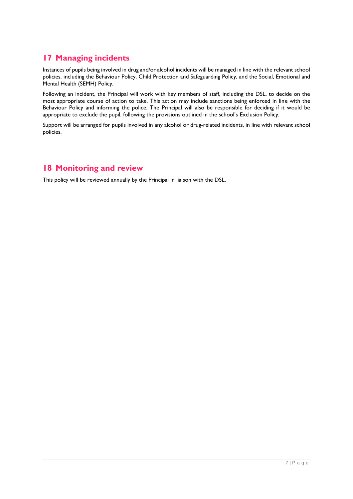# **17 Managing incidents**

Instances of pupils being involved in drug and/or alcohol incidents will be managed in line with the relevant school policies, including the Behaviour Policy, Child Protection and Safeguarding Policy, and the Social, Emotional and Mental Health (SEMH) Policy.

Following an incident, the Principal will work with key members of staff, including the DSL, to decide on the most appropriate course of action to take. This action may include sanctions being enforced in line with the Behaviour Policy and informing the police. The Principal will also be responsible for deciding if it would be appropriate to exclude the pupil, following the provisions outlined in the school's Exclusion Policy.

Support will be arranged for pupils involved in any alcohol or drug-related incidents, in line with relevant school policies.

## **18 Monitoring and review**

This policy will be reviewed annually by the Principal in liaison with the DSL.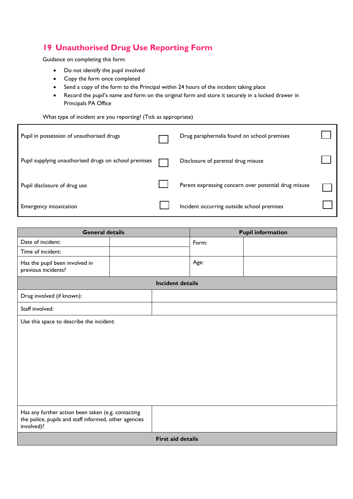# **19 Unauthorised Drug Use Reporting Form**

Guidance on completing this form:

- Do not identify the pupil involved
- Copy the form once completed
- Send a copy of the form to the Principal within 24 hours of the incident taking place
- Record the pupil's name and form on the original form and store it securely in a locked drawer in Principals PA Office

#### What type of incident are you reporting? (Tick as appropriate)

| Pupil in possession of unauthorised drugs             | Drug paraphernalia found on school premises          |  |
|-------------------------------------------------------|------------------------------------------------------|--|
| Pupil supplying unauthorised drugs on school premises | Disclosure of parental drug misuse                   |  |
| Pupil disclosure of drug use                          | Parent expressing concern over potential drug misuse |  |
| <b>Emergency intoxication</b>                         | Incident occurring outside school premises           |  |

| <b>General details</b>                                                                                                    |  | <b>Pupil information</b> |       |  |
|---------------------------------------------------------------------------------------------------------------------------|--|--------------------------|-------|--|
| Date of incident:                                                                                                         |  |                          | Form: |  |
| Time of incident:                                                                                                         |  |                          |       |  |
| Has the pupil been involved in<br>previous incidents?                                                                     |  |                          | Age:  |  |
| <b>Incident details</b>                                                                                                   |  |                          |       |  |
| Drug involved (if known):                                                                                                 |  |                          |       |  |
| Staff involved:                                                                                                           |  |                          |       |  |
| Use this space to describe the incident:                                                                                  |  |                          |       |  |
| Has any further action been taken (e.g. contacting<br>the police, pupils and staff informed, other agencies<br>involved)? |  |                          |       |  |
| <b>First aid details</b>                                                                                                  |  |                          |       |  |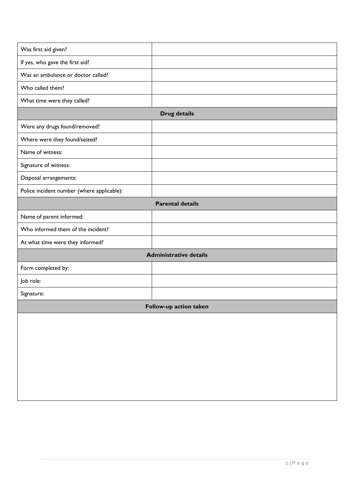| Was first aid given?                       |                         |  |  |  |
|--------------------------------------------|-------------------------|--|--|--|
| If yes, who gave the first aid?            |                         |  |  |  |
| Was an ambulance or doctor called?         |                         |  |  |  |
| Who called them?                           |                         |  |  |  |
| What time were they called?                |                         |  |  |  |
| <b>Drug details</b>                        |                         |  |  |  |
| Were any drugs found/removed?              |                         |  |  |  |
| Where were they found/seized?              |                         |  |  |  |
| Name of witness:                           |                         |  |  |  |
| Signature of witness:                      |                         |  |  |  |
| Disposal arrangements:                     |                         |  |  |  |
| Police incident number (where applicable): |                         |  |  |  |
|                                            | <b>Parental details</b> |  |  |  |
| Name of parent informed:                   |                         |  |  |  |
| Who informed them of the incident?         |                         |  |  |  |
| At what time were they informed?           |                         |  |  |  |
| <b>Administrative details</b>              |                         |  |  |  |
| Form completed by:                         |                         |  |  |  |
| Job role:                                  |                         |  |  |  |
| Signature:                                 |                         |  |  |  |
| Follow-up action taken                     |                         |  |  |  |
|                                            |                         |  |  |  |
|                                            |                         |  |  |  |
|                                            |                         |  |  |  |
|                                            |                         |  |  |  |
|                                            |                         |  |  |  |
|                                            |                         |  |  |  |
|                                            |                         |  |  |  |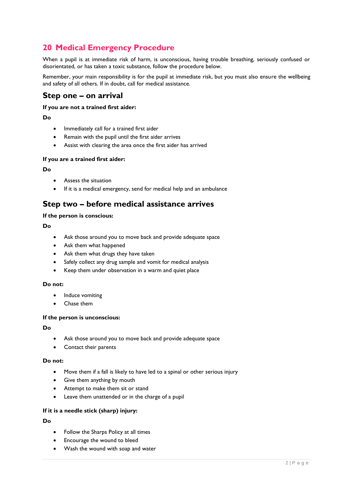# **20 Medical Emergency Procedure**

When a pupil is at immediate risk of harm, is unconscious, having trouble breathing, seriously confused or disorientated, or has taken a toxic substance, follow the procedure below.

Remember, your main responsibility is for the pupil at immediate risk, but you must also ensure the wellbeing and safety of all others. If in doubt, call for medical assistance.

## **Step one – on arrival**

#### **If you are not a trained first aider:**

#### **Do**

- Immediately call for a trained first aider
- Remain with the pupil until the first aider arrives
- Assist with clearing the area once the first aider has arrived

#### **If you are a trained first aider:**

#### **Do**

- Assess the situation
- If it is a medical emergency, send for medical help and an ambulance

## **Step two – before medical assistance arrives**

#### **If the person is conscious:**

#### **Do**

- Ask those around you to move back and provide adequate space
- Ask them what happened
- Ask them what drugs they have taken
- Safely collect any drug sample and vomit for medical analysis
- Keep them under observation in a warm and quiet place

#### **Do not:**

- Induce vomiting
- Chase them

#### **If the person is unconscious:**

#### **Do**

- Ask those around you to move back and provide adequate space
- Contact their parents

#### **Do not:**

- Move them if a fall is likely to have led to a spinal or other serious injury
- Give them anything by mouth
- Attempt to make them sit or stand
- Leave them unattended or in the charge of a pupil

#### **If it is a needle stick (sharp) injury:**

#### **Do**

- Follow the Sharps Policy at all times
- Encourage the wound to bleed
- Wash the wound with soap and water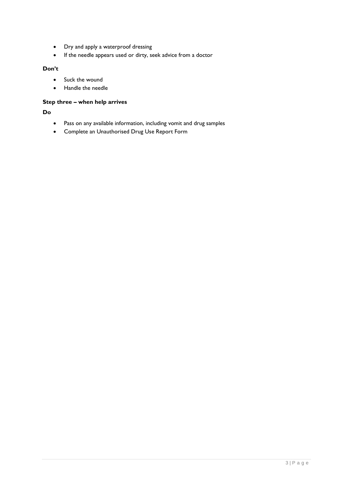- Dry and apply a waterproof dressing
- If the needle appears used or dirty, seek advice from a doctor

#### **Don't**

- Suck the wound
- Handle the needle

#### **Step three – when help arrives**

**Do**

- Pass on any available information, including vomit and drug samples
- Complete an Unauthorised Drug Use Report Form